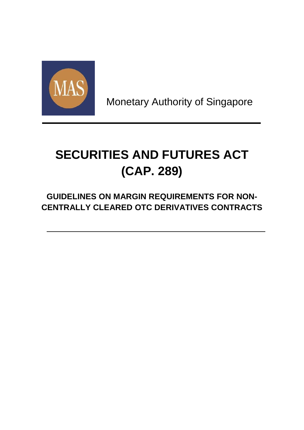

Monetary Authority of Singapore

# **SECURITIES AND FUTURES ACT (CAP. 289)**

**GUIDELINES ON MARGIN REQUIREMENTS FOR NON-CENTRALLY CLEARED OTC DERIVATIVES CONTRACTS**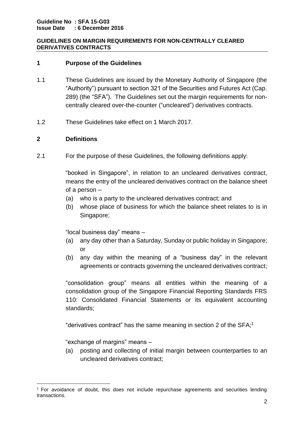# **1 Purpose of the Guidelines**

- 1.1 These Guidelines are issued by the Monetary Authority of Singapore (the "Authority") pursuant to section 321 of the Securities and Futures Act (Cap. 289) (the "SFA"). The Guidelines set out the margin requirements for noncentrally cleared over-the-counter ("uncleared") derivatives contracts.
- 1.2 These Guidelines take effect on 1 March 2017.

# **2 Definitions**

2.1 For the purpose of these Guidelines, the following definitions apply:

"booked in Singapore", in relation to an uncleared derivatives contract, means the entry of the uncleared derivatives contract on the balance sheet of a person –

- (a) who is a party to the uncleared derivatives contract; and
- (b) whose place of business for which the balance sheet relates to is in Singapore;

"local business day" means –

- (a) any day other than a Saturday, Sunday or public holiday in Singapore; or
- (b) any day within the meaning of a "business day" in the relevant agreements or contracts governing the uncleared derivatives contract;

"consolidation group" means all entities within the meaning of a consolidation group of the Singapore Financial Reporting Standards FRS 110: Consolidated Financial Statements or its equivalent accounting standards;

"derivatives contract" has the same meaning in section 2 of the SFA; 1

"exchange of margins" means –

(a) posting and collecting of initial margin between counterparties to an uncleared derivatives contract;

 $\overline{\phantom{a}}$ <sup>1</sup> For avoidance of doubt, this does not include repurchase agreements and securities lending transactions.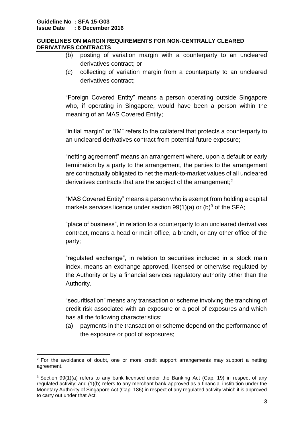- (b) posting of variation margin with a counterparty to an uncleared derivatives contract; or
- (c) collecting of variation margin from a counterparty to an uncleared derivatives contract;

"Foreign Covered Entity" means a person operating outside Singapore who, if operating in Singapore, would have been a person within the meaning of an MAS Covered Entity;

"initial margin" or "IM" refers to the collateral that protects a counterparty to an uncleared derivatives contract from potential future exposure;

"netting agreement" means an arrangement where, upon a default or early termination by a party to the arrangement, the parties to the arrangement are contractually obligated to net the mark-to-market values of all uncleared derivatives contracts that are the subject of the arrangement;<sup>2</sup>

"MAS Covered Entity" means a person who is exempt from holding a capital markets services licence under section  $99(1)(a)$  or (b)<sup>3</sup> of the SFA;

"place of business", in relation to a counterparty to an uncleared derivatives contract, means a head or main office, a branch, or any other office of the party;

"regulated exchange", in relation to securities included in a stock main index, means an exchange approved, licensed or otherwise regulated by the Authority or by a financial services regulatory authority other than the Authority.

"securitisation" means any transaction or scheme involving the tranching of credit risk associated with an exposure or a pool of exposures and which has all the following characteristics:

(a) payments in the transaction or scheme depend on the performance of the exposure or pool of exposures;

<sup>1</sup>  $2$  For the avoidance of doubt, one or more credit support arrangements may support a netting agreement.

<sup>3</sup> Section 99(1)(a) refers to any bank licensed under the Banking Act (Cap. 19) in respect of any regulated activity; and (1)(b) refers to any merchant bank approved as a financial institution under the Monetary Authority of Singapore Act (Cap. 186) in respect of any regulated activity which it is approved to carry out under that Act.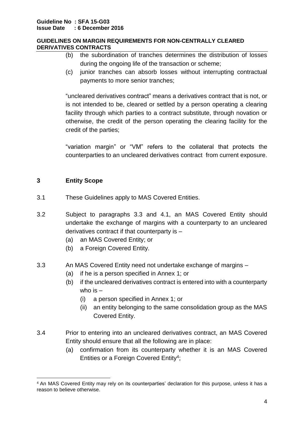- (b) the subordination of tranches determines the distribution of losses during the ongoing life of the transaction or scheme;
- (c) junior tranches can absorb losses without interrupting contractual payments to more senior tranches;

"uncleared derivatives contract" means a derivatives contract that is not, or is not intended to be, cleared or settled by a person operating a clearing facility through which parties to a contract substitute, through novation or otherwise, the credit of the person operating the clearing facility for the credit of the parties;

"variation margin" or "VM" refers to the collateral that protects the counterparties to an uncleared derivatives contract from current exposure.

# **3 Entity Scope**

**.** 

- 3.1 These Guidelines apply to MAS Covered Entities.
- 3.2 Subject to paragraphs 3.3 and 4.1, an MAS Covered Entity should undertake the exchange of margins with a counterparty to an uncleared derivatives contract if that counterparty is –
	- (a) an MAS Covered Entity; or
	- (b) a Foreign Covered Entity.
- 3.3 An MAS Covered Entity need not undertake exchange of margins
	- (a) if he is a person specified in Annex 1; or
	- (b) if the uncleared derivatives contract is entered into with a counterparty who is –
		- (i) a person specified in Annex 1; or
		- (ii) an entity belonging to the same consolidation group as the MAS Covered Entity.
- 3.4 Prior to entering into an uncleared derivatives contract, an MAS Covered Entity should ensure that all the following are in place:
	- (a) confirmation from its counterparty whether it is an MAS Covered Entities or a Foreign Covered Entity<sup>4</sup>;

<sup>4</sup> An MAS Covered Entity may rely on its counterparties' declaration for this purpose, unless it has a reason to believe otherwise.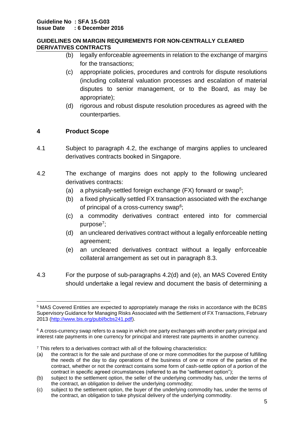- (b) legally enforceable agreements in relation to the exchange of margins for the transactions;
- (c) appropriate policies, procedures and controls for dispute resolutions (including collateral valuation processes and escalation of material disputes to senior management, or to the Board, as may be appropriate);
- (d) rigorous and robust dispute resolution procedures as agreed with the counterparties.

# **4 Product Scope**

- 4.1 Subject to paragraph 4.2, the exchange of margins applies to uncleared derivatives contracts booked in Singapore.
- 4.2 The exchange of margins does not apply to the following uncleared derivatives contracts:
	- (a) a physically-settled foreign exchange (FX) forward or swap<sup>5</sup>;
	- (b) a fixed physically settled FX transaction associated with the exchange of principal of a cross-currency swap<sup>6</sup>;
	- (c) a commodity derivatives contract entered into for commercial purpose<sup>7</sup>;
	- (d) an uncleared derivatives contract without a legally enforceable netting agreement;
	- (e) an uncleared derivatives contract without a legally enforceable collateral arrangement as set out in paragraph 8.3.
- 4.3 For the purpose of sub-paragraphs 4.2(d) and (e), an MAS Covered Entity should undertake a legal review and document the basis of determining a

**<sup>.</sup>** <sup>5</sup> MAS Covered Entities are expected to appropriately manage the risks in accordance with the BCBS Supervisory Guidance for Managing Risks Associated with the Settlement of FX Transactions, February 2013 [\(http://www.bis.org/publ/bcbs241.pdf\)](http://www.bis.org/publ/bcbs241.pdf).

 $6$  A cross-currency swap refers to a swap in which one party exchanges with another party principal and interest rate payments in one currency for principal and interest rate payments in another currency.

<sup>&</sup>lt;sup>7</sup> This refers to a derivatives contract with all of the following characteristics:

<sup>(</sup>a) the contract is for the sale and purchase of one or more commodities for the purpose of fulfilling the needs of the day to day operations of the business of one or more of the parties of the contract, whether or not the contract contains some form of cash-settle option of a portion of the contract in specific agreed circumstances (referred to as the "settlement option");

<sup>(</sup>b) subject to the settlement option, the seller of the underlying commodity has, under the terms of the contract, an obligation to deliver the underlying commodity;

<sup>(</sup>c) subject to the settlement option, the buyer of the underlying commodity has, under the terms of the contract, an obligation to take physical delivery of the underlying commodity.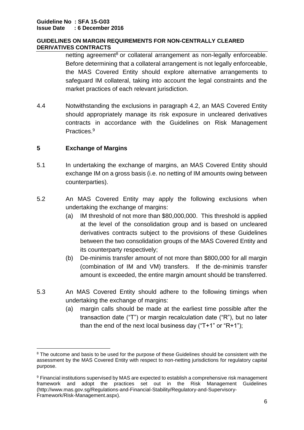netting agreement<sup>8</sup> or collateral arrangement as non-legally enforceable. Before determining that a collateral arrangement is not legally enforceable, the MAS Covered Entity should explore alternative arrangements to safeguard IM collateral, taking into account the legal constraints and the market practices of each relevant jurisdiction.

4.4 Notwithstanding the exclusions in paragraph 4.2, an MAS Covered Entity should appropriately manage its risk exposure in uncleared derivatives contracts in accordance with the Guidelines on Risk Management Practices. 9

# **5 Exchange of Margins**

- 5.1 In undertaking the exchange of margins, an MAS Covered Entity should exchange IM on a gross basis (i.e. no netting of IM amounts owing between counterparties).
- 5.2 An MAS Covered Entity may apply the following exclusions when undertaking the exchange of margins:
	- (a) IM threshold of not more than \$80,000,000. This threshold is applied at the level of the consolidation group and is based on uncleared derivatives contracts subject to the provisions of these Guidelines between the two consolidation groups of the MAS Covered Entity and its counterparty respectively;
	- (b) De-minimis transfer amount of not more than \$800,000 for all margin (combination of IM and VM) transfers. If the de-minimis transfer amount is exceeded, the entire margin amount should be transferred.
- 5.3 An MAS Covered Entity should adhere to the following timings when undertaking the exchange of margins:
	- (a) margin calls should be made at the earliest time possible after the transaction date ("T") or margin recalculation date ("R"), but no later than the end of the next local business day (" $T+1$ " or " $R+1$ ");

<sup>1</sup> <sup>8</sup> The outcome and basis to be used for the purpose of these Guidelines should be consistent with the assessment by the MAS Covered Entity with respect to non-netting jurisdictions for regulatory capital purpose.

<sup>9</sup> Financial institutions supervised by MAS are expected to establish a comprehensive risk management framework and adopt the practices set out in the Risk Management Guidelines (http://www.mas.gov.sg/Regulations-and-Financial-Stability/Regulatory-and-Supervisory-Framework/Risk-Management.aspx).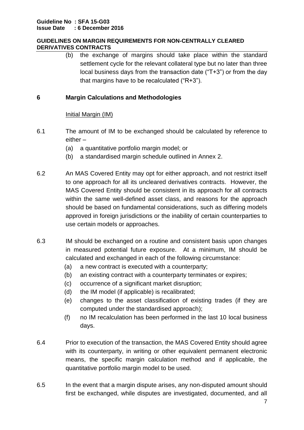(b) the exchange of margins should take place within the standard settlement cycle for the relevant collateral type but no later than three local business days from the transaction date ("T+3") or from the day that margins have to be recalculated ("R+3").

# **6 Margin Calculations and Methodologies**

# Initial Margin (IM)

- 6.1 The amount of IM to be exchanged should be calculated by reference to either –
	- (a) a quantitative portfolio margin model; or
	- (b) a standardised margin schedule outlined in Annex 2.
- 6.2 An MAS Covered Entity may opt for either approach, and not restrict itself to one approach for all its uncleared derivatives contracts. However, the MAS Covered Entity should be consistent in its approach for all contracts within the same well-defined asset class, and reasons for the approach should be based on fundamental considerations, such as differing models approved in foreign jurisdictions or the inability of certain counterparties to use certain models or approaches.
- 6.3 IM should be exchanged on a routine and consistent basis upon changes in measured potential future exposure. At a minimum, IM should be calculated and exchanged in each of the following circumstance:
	- (a) a new contract is executed with a counterparty;
	- (b) an existing contract with a counterparty terminates or expires;
	- (c) occurrence of a significant market disruption;
	- (d) the IM model (if applicable) is recalibrated;
	- (e) changes to the asset classification of existing trades (if they are computed under the standardised approach);
	- (f) no IM recalculation has been performed in the last 10 local business days.
- 6.4 Prior to execution of the transaction, the MAS Covered Entity should agree with its counterparty, in writing or other equivalent permanent electronic means, the specific margin calculation method and if applicable, the quantitative portfolio margin model to be used.
- 6.5 In the event that a margin dispute arises, any non-disputed amount should first be exchanged, while disputes are investigated, documented, and all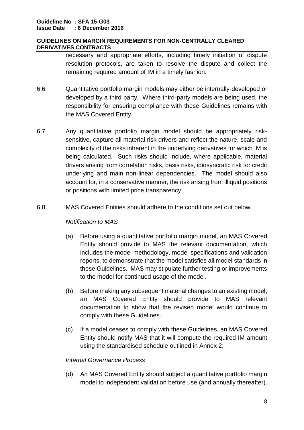necessary and appropriate efforts, including timely initiation of dispute resolution protocols, are taken to resolve the dispute and collect the remaining required amount of IM in a timely fashion.

- 6.6 Quantitative portfolio margin models may either be internally-developed or developed by a third party. Where third-party models are being used, the responsibility for ensuring compliance with these Guidelines remains with the MAS Covered Entity.
- 6.7 Any quantitative portfolio margin model should be appropriately risksensitive, capture all material risk drivers and reflect the nature, scale and complexity of the risks inherent in the underlying derivatives for which IM is being calculated. Such risks should include, where applicable, material drivers arising from correlation risks, basis risks, idiosyncratic risk for credit underlying and main non-linear dependencies. The model should also account for, in a conservative manner, the risk arising from illiquid positions or positions with limited price transparency.
- 6.8 MAS Covered Entities should adhere to the conditions set out below.

## *Notification to MAS*

- (a) Before using a quantitative portfolio margin model, an MAS Covered Entity should provide to MAS the relevant documentation, which includes the model methodology, model specifications and validation reports, to demonstrate that the model satisfies all model standards in these Guidelines. MAS may stipulate further testing or improvements to the model for continued usage of the model.
- (b) Before making any subsequent material changes to an existing model, an MAS Covered Entity should provide to MAS relevant documentation to show that the revised model would continue to comply with these Guidelines.
- (c) If a model ceases to comply with these Guidelines, an MAS Covered Entity should notify MAS that it will compute the required IM amount using the standardised schedule outlined in Annex 2;

## *Internal Governance Process*

(d) An MAS Covered Entity should subject a quantitative portfolio margin model to independent validation before use (and annually thereafter).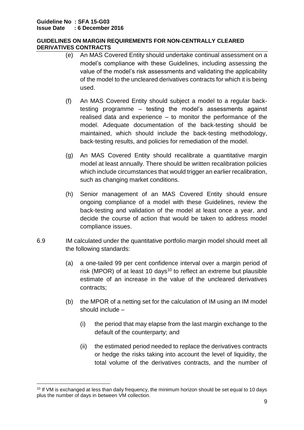- (e) An MAS Covered Entity should undertake continual assessment on a model's compliance with these Guidelines, including assessing the value of the model's risk assessments and validating the applicability of the model to the uncleared derivatives contracts for which it is being used.
- (f) An MAS Covered Entity should subject a model to a regular backtesting programme – testing the model's assessments against realised data and experience – to monitor the performance of the model. Adequate documentation of the back-testing should be maintained, which should include the back-testing methodology, back-testing results, and policies for remediation of the model.
- (g) An MAS Covered Entity should recalibrate a quantitative margin model at least annually. There should be written recalibration policies which include circumstances that would trigger an earlier recalibration, such as changing market conditions.
- (h) Senior management of an MAS Covered Entity should ensure ongoing compliance of a model with these Guidelines, review the back-testing and validation of the model at least once a year, and decide the course of action that would be taken to address model compliance issues.
- 6.9 IM calculated under the quantitative portfolio margin model should meet all the following standards:
	- (a) a one-tailed 99 per cent confidence interval over a margin period of risk (MPOR) of at least 10 days<sup>10</sup> to reflect an extreme but plausible estimate of an increase in the value of the uncleared derivatives contracts;
	- (b) the MPOR of a netting set for the calculation of IM using an IM model should include –
		- (i) the period that may elapse from the last margin exchange to the default of the counterparty; and
		- (ii) the estimated period needed to replace the derivatives contracts or hedge the risks taking into account the level of liquidity, the total volume of the derivatives contracts, and the number of

 $\overline{\phantom{a}}$ <sup>10</sup> If VM is exchanged at less than daily frequency, the minimum horizon should be set equal to 10 days plus the number of days in between VM collection.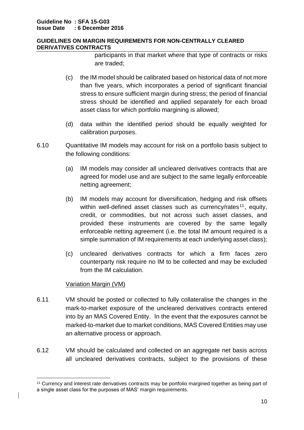participants in that market where that type of contracts or risks are traded;

- (c) the IM model should be calibrated based on historical data of not more than five years, which incorporates a period of significant financial stress to ensure sufficient margin during stress; the period of financial stress should be identified and applied separately for each broad asset class for which portfolio margining is allowed;
- (d) data within the identified period should be equally weighted for calibration purposes.
- 6.10 Quantitative IM models may account for risk on a portfolio basis subject to the following conditions:
	- (a) IM models may consider all uncleared derivatives contracts that are agreed for model use and are subject to the same legally enforceable netting agreement;
	- (b) IM models may account for diversification, hedging and risk offsets within well-defined asset classes such as currency/rates<sup>11</sup>, equity, credit, or commodities, but not across such asset classes, and provided these instruments are covered by the same legally enforceable netting agreement (i.e. the total IM amount required is a simple summation of IM requirements at each underlying asset class);
	- (c) uncleared derivatives contracts for which a firm faces zero counterparty risk require no IM to be collected and may be excluded from the IM calculation.

# Variation Margin (VM)

**.** 

- 6.11 VM should be posted or collected to fully collateralise the changes in the mark-to-market exposure of the uncleared derivatives contracts entered into by an MAS Covered Entity. In the event that the exposures cannot be marked-to-market due to market conditions, MAS Covered Entities may use an alternative process or approach.
- 6.12 VM should be calculated and collected on an aggregate net basis across all uncleared derivatives contracts, subject to the provisions of these

<sup>11</sup> Currency and interest rate derivatives contracts may be portfolio margined together as being part of a single asset class for the purposes of MAS' margin requirements.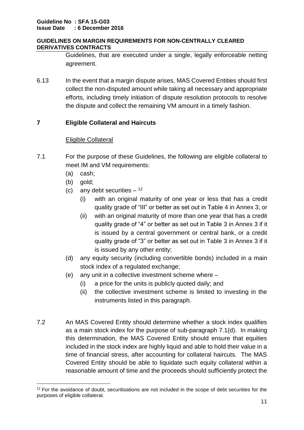Guidelines, that are executed under a single, legally enforceable netting agreement.

6.13 In the event that a margin dispute arises, MAS Covered Entities should first collect the non-disputed amount while taking all necessary and appropriate efforts, including timely initiation of dispute resolution protocols to resolve the dispute and collect the remaining VM amount in a timely fashion.

# **7 Eligible Collateral and Haircuts**

# Eligible Collateral

- 7.1 For the purpose of these Guidelines, the following are eligible collateral to meet IM and VM requirements:
	- (a) cash;
	- (b) gold;
	- (c) any debt securities  $12$ 
		- (i) with an original maturity of one year or less that has a credit quality grade of "III" or better as set out in Table 4 in Annex 3; or
		- (ii) with an original maturity of more than one year that has a credit quality grade of "4" or better as set out in Table 3 in Annex 3 if it is issued by a central government or central bank, or a credit quality grade of "3" or better as set out in Table 3 in Annex 3 if it is issued by any other entity;
	- (d) any equity security (including convertible bonds) included in a main stock index of a regulated exchange;
	- (e) any unit in a collective investment scheme where
		- (i) a price for the units is publicly quoted daily; and
		- (ii) the collective investment scheme is limited to investing in the instruments listed in this paragraph.
- 7.2 An MAS Covered Entity should determine whether a stock index qualifies as a main stock index for the purpose of sub-paragraph 7.1(d). In making this determination, the MAS Covered Entity should ensure that equities included in the stock index are highly liquid and able to hold their value in a time of financial stress, after accounting for collateral haircuts. The MAS Covered Entity should be able to liquidate such equity collateral within a reasonable amount of time and the proceeds should sufficiently protect the

 $\overline{\phantom{a}}$  $12$  For the avoidance of doubt, securitisations are not included in the scope of debt securities for the purposes of eligible collateral.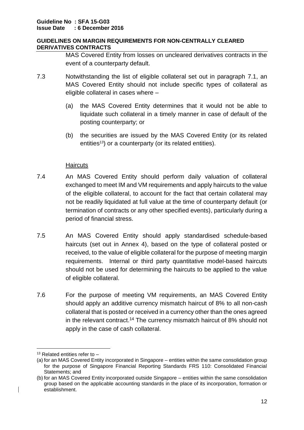MAS Covered Entity from losses on uncleared derivatives contracts in the event of a counterparty default.

- 7.3 Notwithstanding the list of eligible collateral set out in paragraph 7.1, an MAS Covered Entity should not include specific types of collateral as eligible collateral in cases where –
	- (a) the MAS Covered Entity determines that it would not be able to liquidate such collateral in a timely manner in case of default of the posting counterparty; or
	- (b) the securities are issued by the MAS Covered Entity (or its related entities<sup>13</sup>) or a counterparty (or its related entities).

# **Haircuts**

- 7.4 An MAS Covered Entity should perform daily valuation of collateral exchanged to meet IM and VM requirements and apply haircuts to the value of the eligible collateral, to account for the fact that certain collateral may not be readily liquidated at full value at the time of counterparty default (or termination of contracts or any other specified events), particularly during a period of financial stress.
- 7.5 An MAS Covered Entity should apply standardised schedule-based haircuts (set out in Annex 4), based on the type of collateral posted or received, to the value of eligible collateral for the purpose of meeting margin requirements. Internal or third party quantitative model-based haircuts should not be used for determining the haircuts to be applied to the value of eligible collateral.
- 7.6 For the purpose of meeting VM requirements, an MAS Covered Entity should apply an additive currency mismatch haircut of 8% to all non-cash collateral that is posted or received in a currency other than the ones agreed in the relevant contract. <sup>14</sup> The currency mismatch haircut of 8% should not apply in the case of cash collateral.

<sup>1</sup>  $13$  Related entities refer to  $-$ 

<sup>(</sup>a) for an MAS Covered Entity incorporated in Singapore – entities within the same consolidation group for the purpose of Singapore Financial Reporting Standards FRS 110: Consolidated Financial Statements; and

<sup>(</sup>b) for an MAS Covered Entity incorporated outside Singapore – entities within the same consolidation group based on the applicable accounting standards in the place of its incorporation, formation or establishment.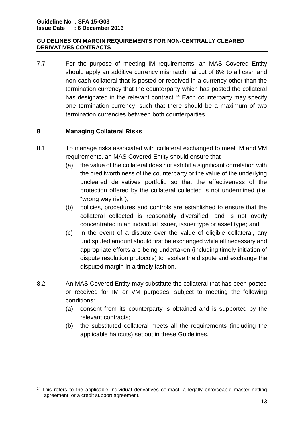7.7 For the purpose of meeting IM requirements, an MAS Covered Entity should apply an additive currency mismatch haircut of 8% to all cash and non-cash collateral that is posted or received in a currency other than the termination currency that the counterparty which has posted the collateral has designated in the relevant contract.<sup>14</sup> Each counterparty may specify one termination currency, such that there should be a maximum of two termination currencies between both counterparties.

# **8 Managing Collateral Risks**

- 8.1 To manage risks associated with collateral exchanged to meet IM and VM requirements, an MAS Covered Entity should ensure that –
	- (a) the value of the collateral does not exhibit a significant correlation with the creditworthiness of the counterparty or the value of the underlying uncleared derivatives portfolio so that the effectiveness of the protection offered by the collateral collected is not undermined (i.e. "wrong way risk");
	- (b) policies, procedures and controls are established to ensure that the collateral collected is reasonably diversified, and is not overly concentrated in an individual issuer, issuer type or asset type; and
	- (c) in the event of a dispute over the value of eligible collateral, any undisputed amount should first be exchanged while all necessary and appropriate efforts are being undertaken (including timely initiation of dispute resolution protocols) to resolve the dispute and exchange the disputed margin in a timely fashion.
- 8.2 An MAS Covered Entity may substitute the collateral that has been posted or received for IM or VM purposes, subject to meeting the following conditions:
	- (a) consent from its counterparty is obtained and is supported by the relevant contracts;
	- (b) the substituted collateral meets all the requirements (including the applicable haircuts) set out in these Guidelines.

 $\overline{\phantom{a}}$ <sup>14</sup> This refers to the applicable individual derivatives contract, a legally enforceable master netting agreement, or a credit support agreement.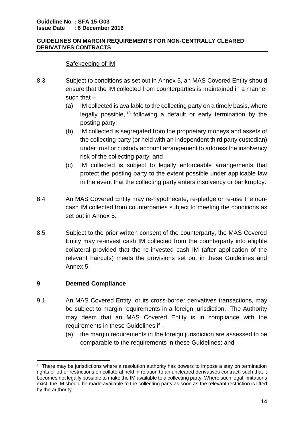## Safekeeping of IM

- 8.3 Subject to conditions as set out in Annex 5, an MAS Covered Entity should ensure that the IM collected from counterparties is maintained in a manner such that –
	- (a) IM collected is available to the collecting party on a timely basis, where legally possible, <sup>15</sup> following a default or early termination by the posting party;
	- (b) IM collected is segregated from the proprietary moneys and assets of the collecting party (or held with an independent third party custodian) under trust or custody account arrangement to address the insolvency risk of the collecting party; and
	- (c) IM collected is subject to legally enforceable arrangements that protect the posting party to the extent possible under applicable law in the event that the collecting party enters insolvency or bankruptcy.
- 8.4 An MAS Covered Entity may re-hypothecate, re-pledge or re-use the noncash IM collected from counterparties subject to meeting the conditions as set out in Annex 5.
- 8.5 Subject to the prior written consent of the counterparty, the MAS Covered Entity may re-invest cash IM collected from the counterparty into eligible collateral provided that the re-invested cash IM (after application of the relevant haircuts) meets the provisions set out in these Guidelines and Annex 5.

# **9 Deemed Compliance**

- 9.1 An MAS Covered Entity, or its cross-border derivatives transactions, may be subject to margin requirements in a foreign jurisdiction. The Authority may deem that an MAS Covered Entity is in compliance with the requirements in these Guidelines if –
	- (a) the margin requirements in the foreign jurisdiction are assessed to be comparable to the requirements in these Guidelines; and

**<sup>.</sup>** <sup>15</sup> There may be jurisdictions where a resolution authority has powers to impose a stay on termination rights or other restrictions on collateral held in relation to an uncleared derivatives contract, such that it becomes not legally possible to make the IM available to a collecting party. Where such legal limitations exist, the IM should be made available to the collecting party as soon as the relevant restriction is lifted by the authority.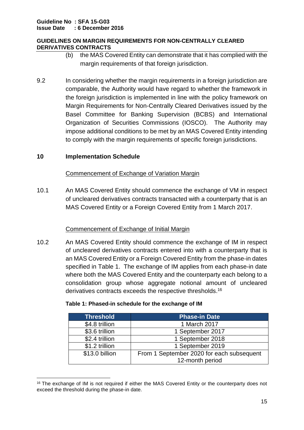- (b) the MAS Covered Entity can demonstrate that it has complied with the margin requirements of that foreign jurisdiction.
- 9.2 In considering whether the margin requirements in a foreign jurisdiction are comparable, the Authority would have regard to whether the framework in the foreign jurisdiction is implemented in line with the policy framework on Margin Requirements for Non-Centrally Cleared Derivatives issued by the Basel Committee for Banking Supervision (BCBS) and International Organization of Securities Commissions (IOSCO). The Authority may impose additional conditions to be met by an MAS Covered Entity intending to comply with the margin requirements of specific foreign jurisdictions.

## **10 Implementation Schedule**

**.** 

## Commencement of Exchange of Variation Margin

10.1 An MAS Covered Entity should commence the exchange of VM in respect of uncleared derivatives contracts transacted with a counterparty that is an MAS Covered Entity or a Foreign Covered Entity from 1 March 2017.

## Commencement of Exchange of Initial Margin

10.2 An MAS Covered Entity should commence the exchange of IM in respect of uncleared derivatives contracts entered into with a counterparty that is an MAS Covered Entity or a Foreign Covered Entity from the phase-in dates specified in Table 1. The exchange of IM applies from each phase-in date where both the MAS Covered Entity and the counterparty each belong to a consolidation group whose aggregate notional amount of uncleared derivatives contracts exceeds the respective thresholds.<sup>16</sup>

| <b>Threshold</b> | <b>Phase-in Date</b>                      |
|------------------|-------------------------------------------|
| \$4.8 trillion   | 1 March 2017                              |
| \$3.6 trillion   | 1 September 2017                          |
| \$2.4 trillion   | 1 September 2018                          |
| \$1.2 trillion   | 1 September 2019                          |
| \$13.0 billion   | From 1 September 2020 for each subsequent |
|                  | 12-month period                           |

#### **Table 1: Phased-in schedule for the exchange of IM**

<sup>&</sup>lt;sup>16</sup> The exchange of IM is not required if either the MAS Covered Entity or the counterparty does not exceed the threshold during the phase-in date.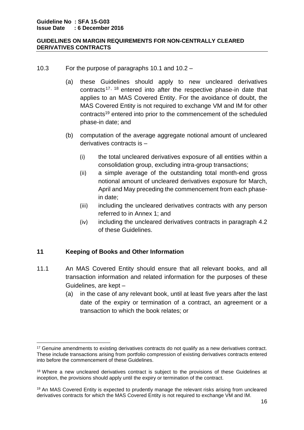- 10.3 For the purpose of paragraphs 10.1 and 10.2
	- (a) these Guidelines should apply to new uncleared derivatives contracts 17, <sup>18</sup> entered into after the respective phase-in date that applies to an MAS Covered Entity. For the avoidance of doubt, the MAS Covered Entity is not required to exchange VM and IM for other contracts<sup>19</sup> entered into prior to the commencement of the scheduled phase-in date; and
	- (b) computation of the average aggregate notional amount of uncleared derivatives contracts is –
		- (i) the total uncleared derivatives exposure of all entities within a consolidation group, excluding intra-group transactions;
		- (ii) a simple average of the outstanding total month-end gross notional amount of uncleared derivatives exposure for March, April and May preceding the commencement from each phasein date;
		- (iii) including the uncleared derivatives contracts with any person referred to in Annex 1; and
		- (iv) including the uncleared derivatives contracts in paragraph 4.2 of these Guidelines.

# **11 Keeping of Books and Other Information**

**.** 

- 11.1 An MAS Covered Entity should ensure that all relevant books, and all transaction information and related information for the purposes of these Guidelines, are kept –
	- (a) in the case of any relevant book, until at least five years after the last date of the expiry or termination of a contract, an agreement or a transaction to which the book relates; or

<sup>&</sup>lt;sup>17</sup> Genuine amendments to existing derivatives contracts do not qualify as a new derivatives contract. These include transactions arising from portfolio compression of existing derivatives contracts entered into before the commencement of these Guidelines.

<sup>&</sup>lt;sup>18</sup> Where a new uncleared derivatives contract is subject to the provisions of these Guidelines at inception, the provisions should apply until the expiry or termination of the contract.

<sup>&</sup>lt;sup>19</sup> An MAS Covered Entity is expected to prudently manage the relevant risks arising from uncleared derivatives contracts for which the MAS Covered Entity is not required to exchange VM and IM.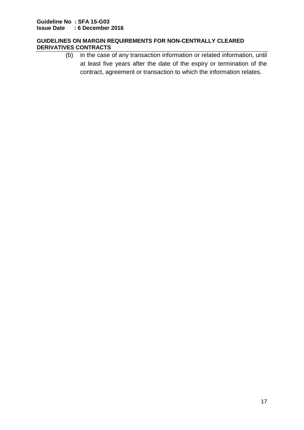(b) in the case of any transaction information or related information, until at least five years after the date of the expiry or termination of the contract, agreement or transaction to which the information relates.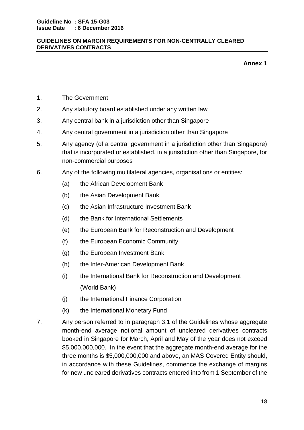**Annex 1**

- 1. The Government
- 2. Any statutory board established under any written law
- 3. Any central bank in a jurisdiction other than Singapore
- 4. Any central government in a jurisdiction other than Singapore
- 5. Any agency (of a central government in a jurisdiction other than Singapore) that is incorporated or established, in a jurisdiction other than Singapore, for non-commercial purposes
- 6. Any of the following multilateral agencies, organisations or entities:
	- (a) the African Development Bank
	- (b) the Asian Development Bank
	- (c) the Asian Infrastructure Investment Bank
	- (d) the Bank for International Settlements
	- (e) the European Bank for Reconstruction and Development
	- (f) the European Economic Community
	- (g) the European Investment Bank
	- (h) the Inter-American Development Bank
	- (i) the International Bank for Reconstruction and Development (World Bank)
	- (j) the International Finance Corporation
	- (k) the International Monetary Fund
- 7. Any person referred to in paragraph 3.1 of the Guidelines whose aggregate month-end average notional amount of uncleared derivatives contracts booked in Singapore for March, April and May of the year does not exceed \$5,000,000,000. In the event that the aggregate month-end average for the three months is \$5,000,000,000 and above, an MAS Covered Entity should, in accordance with these Guidelines, commence the exchange of margins for new uncleared derivatives contracts entered into from 1 September of the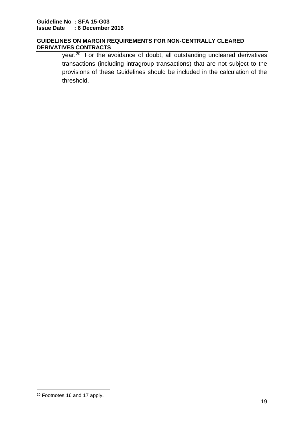year.<sup>20</sup> For the avoidance of doubt, all outstanding uncleared derivatives transactions (including intragroup transactions) that are not subject to the provisions of these Guidelines should be included in the calculation of the threshold.

<sup>1</sup> <sup>20</sup> Footnotes 16 and 17 apply.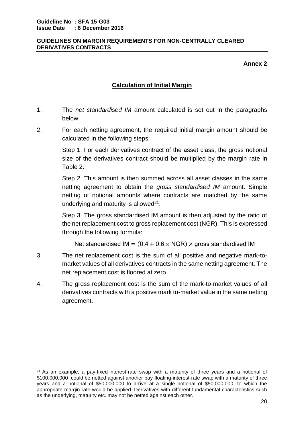**.** 

## **GUIDELINES ON MARGIN REQUIREMENTS FOR NON-CENTRALLY CLEARED DERIVATIVES CONTRACTS**

**Annex 2**

# **Calculation of Initial Margin**

- 1. The *net standardised IM* amount calculated is set out in the paragraphs below.
- 2. For each netting agreement, the required initial margin amount should be calculated in the following steps:

Step 1: For each derivatives contract of the asset class, the gross notional size of the derivatives contract should be multiplied by the margin rate in Table 2.

Step 2: This amount is then summed across all asset classes in the same netting agreement to obtain the *gross standardised IM* amount. Simple netting of notional amounts where contracts are matched by the same underlying and maturity is allowed $21$ .

Step 3: The gross standardised IM amount is then adjusted by the ratio of the net replacement cost to gross replacement cost (NGR). This is expressed through the following formula:

Net standardised IM =  $(0.4 + 0.6 \times \text{NGR}) \times \text{gross standardized IM}$ 

- 3. The net replacement cost is the sum of all positive and negative mark-tomarket values of all derivatives contracts in the same netting agreement. The net replacement cost is floored at zero.
- 4. The gross replacement cost is the sum of the mark-to-market values of all derivatives contracts with a positive mark to-market value in the same netting agreement.

 $21$  As an example, a pay-fixed-interest-rate swap with a maturity of three years and a notional of \$100,000,000 could be netted against another pay-floating-interest-rate swap with a maturity of three years and a notional of \$50,000,000 to arrive at a single notional of \$50,000,000, to which the appropriate margin rate would be applied. Derivatives with different fundamental characteristics such as the underlying, maturity etc. may not be netted against each other.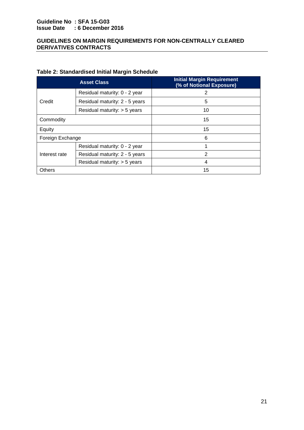## **Guideline No : SFA 15-G03 Issue Date : 6 December 2016**

#### **GUIDELINES ON MARGIN REQUIREMENTS FOR NON-CENTRALLY CLEARED DERIVATIVES CONTRACTS**

# **Table 2: Standardised Initial Margin Schedule**

|                  | <b>Asset Class</b>             | <b>Initial Margin Requirement</b><br>(% of Notional Exposure) |  |
|------------------|--------------------------------|---------------------------------------------------------------|--|
|                  | Residual maturity: 0 - 2 year  | 2                                                             |  |
| Credit           | Residual maturity: 2 - 5 years | 5                                                             |  |
|                  | Residual maturity: > 5 years   | 10                                                            |  |
| Commodity        |                                | 15                                                            |  |
| Equity           |                                | 15                                                            |  |
| Foreign Exchange |                                | 6                                                             |  |
| Interest rate    | Residual maturity: 0 - 2 year  |                                                               |  |
|                  | Residual maturity: 2 - 5 years | $\overline{2}$                                                |  |
|                  | Residual maturity: $>$ 5 years | 4                                                             |  |
| Others           |                                | 15                                                            |  |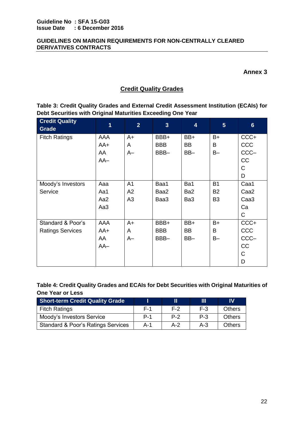**Annex 3**

# **Credit Quality Grades**

**Table 3: Credit Quality Grades and External Credit Assessment Institution (ECAIs) for Debt Securities with Original Maturities Exceeding One Year**

| <b>Credit Quality</b><br><b>Grade</b> | $\overline{1}$ | $\overline{2}$ | $\overline{\mathbf{3}}$ | $\overline{\mathbf{4}}$ | $5\phantom{1}$ | $6\phantom{1}$   |
|---------------------------------------|----------------|----------------|-------------------------|-------------------------|----------------|------------------|
| <b>Fitch Ratings</b>                  | AAA            | $A+$           | BBB+                    | BB+                     | $B+$           | CCC+             |
|                                       | $AA+$          | A              | <b>BBB</b>              | <b>BB</b>               | B              | CCC              |
|                                       | AA             | $A-$           | BBB-                    | BB-                     | $B -$          | CCC-             |
|                                       | $AA-$          |                |                         |                         |                | CC               |
|                                       |                |                |                         |                         |                | C                |
|                                       |                |                |                         |                         |                | D                |
| Moody's Investors                     | Aaa            | A <sub>1</sub> | Baa1                    | Ba1                     | <b>B1</b>      | Caa1             |
| Service                               | Aa1            | A2             | Baa2                    | Ba <sub>2</sub>         | <b>B2</b>      | Caa <sub>2</sub> |
|                                       | Aa2            | A3             | Baa3                    | Ba3                     | B <sub>3</sub> | Caa <sub>3</sub> |
|                                       | Aa3            |                |                         |                         |                | Ca               |
|                                       |                |                |                         |                         |                | $\mathsf{C}$     |
| Standard & Poor's                     | AAA            | $A+$           | BBB+                    | BB+                     | $B+$           | CCC+             |
| <b>Ratings Services</b>               | $AA+$          | A              | <b>BBB</b>              | <b>BB</b>               | B              | CCC              |
|                                       | AA             | $A-$           | BBB-                    | BB-                     | $B -$          | CCC-             |
|                                       | $AA-$          |                |                         |                         |                | CC               |
|                                       |                |                |                         |                         |                | C                |
|                                       |                |                |                         |                         |                | D                |

**Table 4: Credit Quality Grades and ECAIs for Debt Securities with Original Maturities of One Year or Less**

| <b>Short-term Credit Quality Grade</b> |            |       | Ш       | IV            |
|----------------------------------------|------------|-------|---------|---------------|
| <b>Fitch Ratings</b>                   | F-1        | F-2   | $F-3$   | <b>Others</b> |
| Moody's Investors Service              | <b>P-1</b> | $P-2$ | $P - 3$ | <b>Others</b> |
| Standard & Poor's Ratings Services     | $A - 1$    | $A-2$ | $A - 3$ | <b>Others</b> |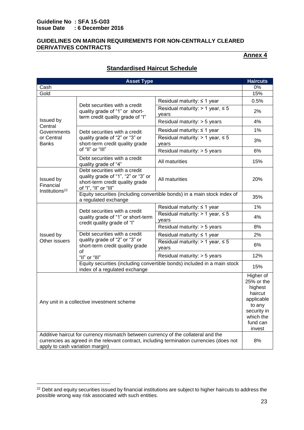#### **Guideline No : SFA 15-G03 Issue Date : 6 December 2016**

 $\overline{\phantom{a}}$ 

#### **GUIDELINES ON MARGIN REQUIREMENTS FOR NON-CENTRALLY CLEARED DERIVATIVES CONTRACTS**

# **Annex 4**

|                                                                                                                                                                                                                   | <b>Asset Type</b>                                                                                                                |                                                                                                                                                                                                                                                                        | <b>Haircuts</b>                                                                                                         |
|-------------------------------------------------------------------------------------------------------------------------------------------------------------------------------------------------------------------|----------------------------------------------------------------------------------------------------------------------------------|------------------------------------------------------------------------------------------------------------------------------------------------------------------------------------------------------------------------------------------------------------------------|-------------------------------------------------------------------------------------------------------------------------|
| Cash                                                                                                                                                                                                              |                                                                                                                                  |                                                                                                                                                                                                                                                                        | 0%                                                                                                                      |
| Gold                                                                                                                                                                                                              |                                                                                                                                  |                                                                                                                                                                                                                                                                        | 15%                                                                                                                     |
| Issued by<br>Central<br>Governments<br>or Central<br><b>Banks</b>                                                                                                                                                 | Debt securities with a credit<br>quality grade of "1" or short-<br>term credit quality grade of "I"                              | Residual maturity: $\leq 1$ year                                                                                                                                                                                                                                       | 0.5%                                                                                                                    |
|                                                                                                                                                                                                                   |                                                                                                                                  | Residual maturity: $> 1$ year, $\leq 5$<br>vears                                                                                                                                                                                                                       | 2%                                                                                                                      |
|                                                                                                                                                                                                                   |                                                                                                                                  | Residual maturity: > 5 years                                                                                                                                                                                                                                           | 4%                                                                                                                      |
|                                                                                                                                                                                                                   | Debt securities with a credit<br>quality grade of "2" or "3" or<br>short-term credit quality grade<br>of "II" or "III"           | Residual maturity: $\leq$ 1 year                                                                                                                                                                                                                                       | 1%                                                                                                                      |
|                                                                                                                                                                                                                   |                                                                                                                                  | Residual maturity: $> 1$ year, $\leq 5$<br>years                                                                                                                                                                                                                       | 3%                                                                                                                      |
|                                                                                                                                                                                                                   |                                                                                                                                  | Residual maturity: > 5 years                                                                                                                                                                                                                                           | 6%                                                                                                                      |
|                                                                                                                                                                                                                   | Debt securities with a credit<br>quality grade of "4"                                                                            | All maturities<br>All maturities<br>Residual maturity: ≤ 1 year<br>Residual maturity: $> 1$ year, $\leq 5$<br>years<br>Residual maturity: > 5 years<br>Residual maturity: ≤ 1 year<br>Residual maturity: $> 1$ year, $\leq 5$<br>years<br>Residual maturity: > 5 years | 15%                                                                                                                     |
| Issued by<br>Financial<br>Institutions <sup>22</sup>                                                                                                                                                              | Debt securities with a credit<br>quality grade of "1", "2" or "3" or<br>short-term credit quality grade<br>of "I", "II" or "III" |                                                                                                                                                                                                                                                                        | 20%                                                                                                                     |
|                                                                                                                                                                                                                   | a regulated exchange                                                                                                             |                                                                                                                                                                                                                                                                        | 35%                                                                                                                     |
|                                                                                                                                                                                                                   | Debt securities with a credit<br>quality grade of "1" or short-term                                                              |                                                                                                                                                                                                                                                                        | 1%                                                                                                                      |
|                                                                                                                                                                                                                   |                                                                                                                                  |                                                                                                                                                                                                                                                                        | 4%                                                                                                                      |
|                                                                                                                                                                                                                   |                                                                                                                                  | credit quality grade of "I"<br>quality grade of "2" or "3" or                                                                                                                                                                                                          | 8%                                                                                                                      |
| Issued by<br>Other issuers                                                                                                                                                                                        | Debt securities with a credit                                                                                                    |                                                                                                                                                                                                                                                                        | 2%                                                                                                                      |
|                                                                                                                                                                                                                   | short-term credit quality grade                                                                                                  |                                                                                                                                                                                                                                                                        | 6%                                                                                                                      |
|                                                                                                                                                                                                                   | οf<br>"II" or "III"                                                                                                              |                                                                                                                                                                                                                                                                        | 12%                                                                                                                     |
|                                                                                                                                                                                                                   | index of a regulated exchange                                                                                                    | Equity securities (including convertible bonds) in a main stock index of<br>Equity securities (including convertible bonds) included in a main stock                                                                                                                   | 15%                                                                                                                     |
|                                                                                                                                                                                                                   | Any unit in a collective investment scheme                                                                                       |                                                                                                                                                                                                                                                                        | Higher of<br>25% or the<br>highest<br>haircut<br>applicable<br>to any<br>security in<br>which the<br>fund can<br>invest |
| Additive haircut for currency mismatch between currency of the collateral and the<br>currencies as agreed in the relevant contract, including termination currencies (does not<br>apply to cash variation margin) |                                                                                                                                  |                                                                                                                                                                                                                                                                        | 8%                                                                                                                      |

# **Standardised Haircut Schedule**

<sup>&</sup>lt;sup>22</sup> Debt and equity securities issued by financial institutions are subject to higher haircuts to address the possible wrong way risk associated with such entities.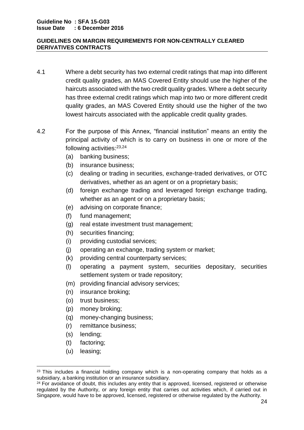- 4.1 Where a debt security has two external credit ratings that map into different credit quality grades, an MAS Covered Entity should use the higher of the haircuts associated with the two credit quality grades. Where a debt security has three external credit ratings which map into two or more different credit quality grades, an MAS Covered Entity should use the higher of the two lowest haircuts associated with the applicable credit quality grades.
- 4.2 For the purpose of this Annex, "financial institution" means an entity the principal activity of which is to carry on business in one or more of the following activities:<sup>23,24</sup>
	- (a) banking business;
	- (b) insurance business;
	- (c) dealing or trading in securities, exchange-traded derivatives, or OTC derivatives, whether as an agent or on a proprietary basis;
	- (d) foreign exchange trading and leveraged foreign exchange trading, whether as an agent or on a proprietary basis;
	- (e) advising on corporate finance;
	- (f) fund management;
	- (g) real estate investment trust management;
	- (h) securities financing;
	- (i) providing custodial services;
	- (j) operating an exchange, trading system or market;
	- (k) providing central counterparty services;
	- (l) operating a payment system, securities depositary, securities settlement system or trade repository;
	- (m) providing financial advisory services;
	- (n) insurance broking;
	- (o) trust business;
	- (p) money broking;
	- (q) money-changing business;
	- (r) remittance business;
	- (s) lending;
	- (t) factoring;
	- (u) leasing;

**.** 

 $23$  This includes a financial holding company which is a non-operating company that holds as a subsidiary, a banking institution or an insurance subsidiary.

<sup>&</sup>lt;sup>24</sup> For avoidance of doubt, this includes any entity that is approved, licensed, registered or otherwise regulated by the Authority, or any foreign entity that carries out activities which, if carried out in Singapore, would have to be approved, licensed, registered or otherwise regulated by the Authority.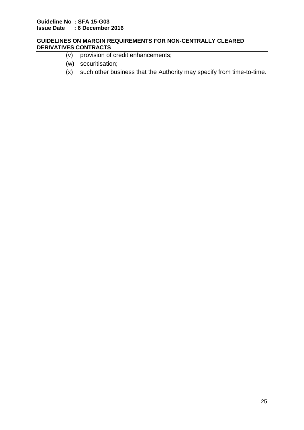- (v) provision of credit enhancements;
- (w) securitisation;
- (x) such other business that the Authority may specify from time-to-time.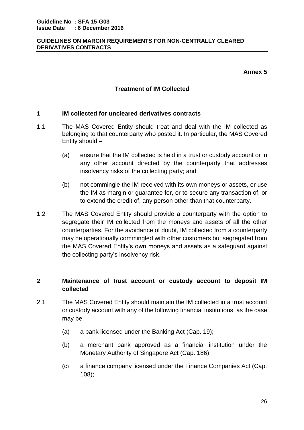**Annex 5**

# **Treatment of IM Collected**

## **1 IM collected for uncleared derivatives contracts**

- 1.1 The MAS Covered Entity should treat and deal with the IM collected as belonging to that counterparty who posted it. In particular, the MAS Covered Entity should –
	- (a) ensure that the IM collected is held in a trust or custody account or in any other account directed by the counterparty that addresses insolvency risks of the collecting party; and
	- (b) not commingle the IM received with its own moneys or assets, or use the IM as margin or guarantee for, or to secure any transaction of, or to extend the credit of, any person other than that counterparty.
- 1.2 The MAS Covered Entity should provide a counterparty with the option to segregate their IM collected from the moneys and assets of all the other counterparties. For the avoidance of doubt, IM collected from a counterparty may be operationally commingled with other customers but segregated from the MAS Covered Entity's own moneys and assets as a safeguard against the collecting party's insolvency risk.

# **2 Maintenance of trust account or custody account to deposit IM collected**

- 2.1 The MAS Covered Entity should maintain the IM collected in a trust account or custody account with any of the following financial institutions, as the case may be:
	- (a) a bank licensed under the Banking Act (Cap. 19);
	- (b) a merchant bank approved as a financial institution under the Monetary Authority of Singapore Act (Cap. 186);
	- (c) a finance company licensed under the Finance Companies Act (Cap. 108);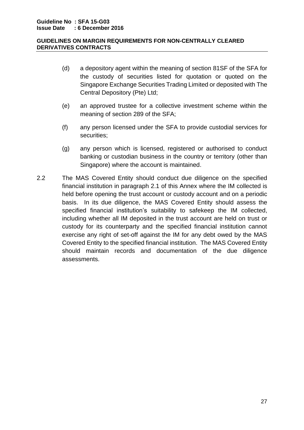- (d) a depository agent within the meaning of section 81SF of the SFA for the custody of securities listed for quotation or quoted on the Singapore Exchange Securities Trading Limited or deposited with The Central Depository (Pte) Ltd;
- (e) an approved trustee for a collective investment scheme within the meaning of section 289 of the SFA;
- (f) any person licensed under the SFA to provide custodial services for securities;
- (g) any person which is licensed, registered or authorised to conduct banking or custodian business in the country or territory (other than Singapore) where the account is maintained.
- 2.2 The MAS Covered Entity should conduct due diligence on the specified financial institution in paragraph 2.1 of this Annex where the IM collected is held before opening the trust account or custody account and on a periodic basis. In its due diligence, the MAS Covered Entity should assess the specified financial institution's suitability to safekeep the IM collected, including whether all IM deposited in the trust account are held on trust or custody for its counterparty and the specified financial institution cannot exercise any right of set-off against the IM for any debt owed by the MAS Covered Entity to the specified financial institution. The MAS Covered Entity should maintain records and documentation of the due diligence assessments.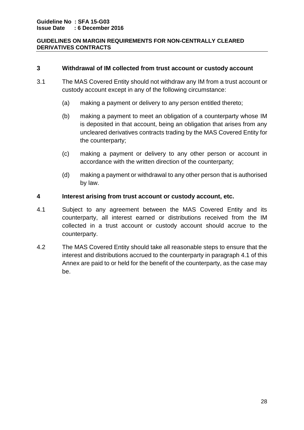## **3 Withdrawal of IM collected from trust account or custody account**

- 3.1 The MAS Covered Entity should not withdraw any IM from a trust account or custody account except in any of the following circumstance:
	- (a) making a payment or delivery to any person entitled thereto;
	- (b) making a payment to meet an obligation of a counterparty whose IM is deposited in that account, being an obligation that arises from any uncleared derivatives contracts trading by the MAS Covered Entity for the counterparty;
	- (c) making a payment or delivery to any other person or account in accordance with the written direction of the counterparty;
	- (d) making a payment or withdrawal to any other person that is authorised by law.

#### **4 Interest arising from trust account or custody account, etc.**

- 4.1 Subject to any agreement between the MAS Covered Entity and its counterparty, all interest earned or distributions received from the IM collected in a trust account or custody account should accrue to the counterparty.
- 4.2 The MAS Covered Entity should take all reasonable steps to ensure that the interest and distributions accrued to the counterparty in paragraph 4.1 of this Annex are paid to or held for the benefit of the counterparty, as the case may be.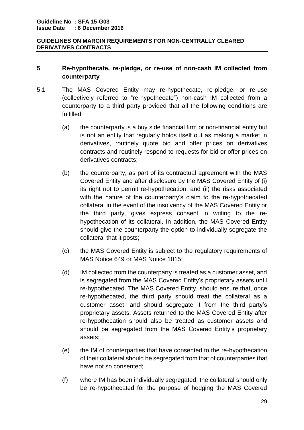# **5 Re-hypothecate, re-pledge, or re-use of non-cash IM collected from counterparty**

- 5.1 The MAS Covered Entity may re-hypothecate, re-pledge, or re-use (collectively referred to "re-hypothecate") non-cash IM collected from a counterparty to a third party provided that all the following conditions are fulfilled:
	- (a) the counterparty is a buy side financial firm or non-financial entity but is not an entity that regularly holds itself out as making a market in derivatives, routinely quote bid and offer prices on derivatives contracts and routinely respond to requests for bid or offer prices on derivatives contracts;
	- (b) the counterparty, as part of its contractual agreement with the MAS Covered Entity and after disclosure by the MAS Covered Entity of (i) its right not to permit re-hypothecation, and (ii) the risks associated with the nature of the counterparty's claim to the re-hypothecated collateral in the event of the insolvency of the MAS Covered Entity or the third party, gives express consent in writing to the rehypothecation of its collateral. In addition, the MAS Covered Entity should give the counterparty the option to individually segregate the collateral that it posts;
	- (c) the MAS Covered Entity is subject to the regulatory requirements of MAS Notice 649 or MAS Notice 1015;
	- (d) IM collected from the counterparty is treated as a customer asset, and is segregated from the MAS Covered Entity's proprietary assets until re-hypothecated. The MAS Covered Entity, should ensure that, once re-hypothecated, the third party should treat the collateral as a customer asset, and should segregate it from the third party's proprietary assets. Assets returned to the MAS Covered Entity after re-hypothecation should also be treated as customer assets and should be segregated from the MAS Covered Entity's proprietary assets;
	- (e) the IM of counterparties that have consented to the re-hypothecation of their collateral should be segregated from that of counterparties that have not so consented;
	- (f) where IM has been individually segregated, the collateral should only be re-hypothecated for the purpose of hedging the MAS Covered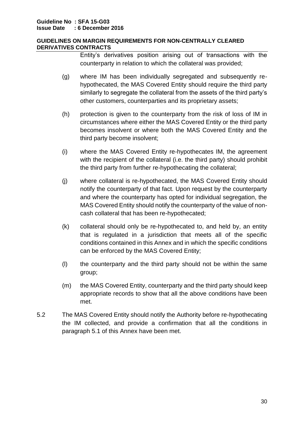Entity's derivatives position arising out of transactions with the counterparty in relation to which the collateral was provided;

- (g) where IM has been individually segregated and subsequently rehypothecated, the MAS Covered Entity should require the third party similarly to segregate the collateral from the assets of the third party's other customers, counterparties and its proprietary assets;
- (h) protection is given to the counterparty from the risk of loss of IM in circumstances where either the MAS Covered Entity or the third party becomes insolvent or where both the MAS Covered Entity and the third party become insolvent;
- (i) where the MAS Covered Entity re-hypothecates IM, the agreement with the recipient of the collateral (i.e. the third party) should prohibit the third party from further re-hypothecating the collateral;
- (j) where collateral is re-hypothecated, the MAS Covered Entity should notify the counterparty of that fact. Upon request by the counterparty and where the counterparty has opted for individual segregation, the MAS Covered Entity should notify the counterparty of the value of noncash collateral that has been re-hypothecated;
- (k) collateral should only be re-hypothecated to, and held by, an entity that is regulated in a jurisdiction that meets all of the specific conditions contained in this Annex and in which the specific conditions can be enforced by the MAS Covered Entity;
- (l) the counterparty and the third party should not be within the same group;
- (m) the MAS Covered Entity, counterparty and the third party should keep appropriate records to show that all the above conditions have been met.
- 5.2 The MAS Covered Entity should notify the Authority before re-hypothecating the IM collected, and provide a confirmation that all the conditions in paragraph 5.1 of this Annex have been met.